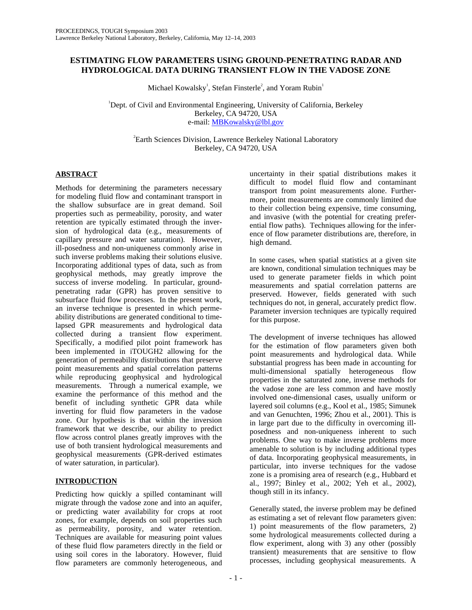# **ESTIMATING FLOW PARAMETERS USING GROUND-PENETRATING RADAR AND HYDROLOGICAL DATA DURING TRANSIENT FLOW IN THE VADOSE ZONE**

Michael Kowalsky<sup>1</sup>, Stefan Finsterle<sup>2</sup>, and Yoram Rubin<sup>1</sup>

<sup>1</sup>Dept. of Civil and Environmental Engineering, University of California, Berkeley Berkeley, CA 94720, USA e-mail: MBKowalsky@lbl.gov

2 Earth Sciences Division, Lawrence Berkeley National Laboratory Berkeley, CA 94720, USA

# **ABSTRACT**

Methods for determining the parameters necessary for modeling fluid flow and contaminant transport in the shallow subsurface are in great demand. Soil properties such as permeability, porosity, and water retention are typically estimated through the inversion of hydrological data (e.g., measurements of capillary pressure and water saturation). However, ill-posedness and non-uniqueness commonly arise in such inverse problems making their solutions elusive. Incorporating additional types of data, such as from geophysical methods, may greatly improve the success of inverse modeling. In particular, groundpenetrating radar (GPR) has proven sensitive to subsurface fluid flow processes. In the present work, an inverse technique is presented in which permeability distributions are generated conditional to timelapsed GPR measurements and hydrological data collected during a transient flow experiment. Specifically, a modified pilot point framework has been implemented in iTOUGH2 allowing for the generation of permeability distributions that preserve point measurements and spatial correlation patterns while reproducing geophysical and hydrological measurements. Through a numerical example, we examine the performance of this method and the benefit of including synthetic GPR data while inverting for fluid flow parameters in the vadose zone. Our hypothesis is that within the inversion framework that we describe, our ability to predict flow across control planes greatly improves with the use of both transient hydrological measurements and geophysical measurements (GPR-derived estimates of water saturation, in particular).

# **INTRODUCTION**

Predicting how quickly a spilled contaminant will migrate through the vadose zone and into an aquifer, or predicting water availability for crops at root zones, for example, depends on soil properties such as permeability, porosity, and water retention. Techniques are available for measuring point values of these fluid flow parameters directly in the field or using soil cores in the laboratory. However, fluid flow parameters are commonly heterogeneous, and

uncertainty in their spatial distributions makes it difficult to model fluid flow and contaminant transport from point measurements alone. Furthermore, point measurements are commonly limited due to their collection being expensive, time consuming, and invasive (with the potential for creating preferential flow paths). Techniques allowing for the inference of flow parameter distributions are, therefore, in high demand.

In some cases, when spatial statistics at a given site are known, conditional simulation techniques may be used to generate parameter fields in which point measurements and spatial correlation patterns are preserved. However, fields generated with such techniques do not, in general, accurately predict flow. Parameter inversion techniques are typically required for this purpose.

The development of inverse techniques has allowed for the estimation of flow parameters given both point measurements and hydrological data. While substantial progress has been made in accounting for multi-dimensional spatially heterogeneous flow properties in the saturated zone, inverse methods for the vadose zone are less common and have mostly involved one-dimensional cases, usually uniform or layered soil columns (e.g., Kool et al., 1985; Simunek and van Genuchten, 1996; Zhou et al., 2001). This is in large part due to the difficulty in overcoming illposedness and non-uniqueness inherent to such problems. One way to make inverse problems more amenable to solution is by including additional types of data. Incorporating geophysical measurements, in particular, into inverse techniques for the vadose zone is a promising area of research (e.g., Hubbard et al., 1997; Binley et al., 2002; Yeh et al., 2002), though still in its infancy.

Generally stated, the inverse problem may be defined as estimating a set of relevant flow parameters given: 1) point measurements of the flow parameters, 2) some hydrological measurements collected during a flow experiment, along with 3) any other (possibly transient) measurements that are sensitive to flow processes, including geophysical measurements. A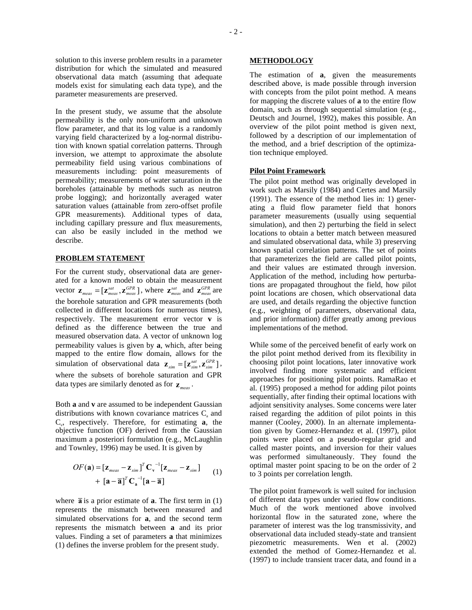solution to this inverse problem results in a parameter distribution for which the simulated and measured observational data match (assuming that adequate models exist for simulating each data type), and the parameter measurements are preserved.

In the present study, we assume that the absolute permeability is the only non-uniform and unknown flow parameter, and that its log value is a randomly varying field characterized by a log-normal distribution with known spatial correlation patterns. Through inversion, we attempt to approximate the absolute permeability field using various combinations of measurements including: point measurements of permeability; measurements of water saturation in the boreholes (attainable by methods such as neutron probe logging); and horizontally averaged water saturation values (attainable from zero-offset profile GPR measurements). Additional types of data, including capillary pressure and flux measurements, can also be easily included in the method we describe.

## **PROBLEM STATEMENT**

For the current study, observational data are generated for a known model to obtain the measurement vector  $\mathbf{z}_{meas} = [\mathbf{z}_{meas}^{sat}, \mathbf{z}_{meas}^{GPR}]$ , where  $\mathbf{z}_{meas}^{sat}$  and  $\mathbf{z}_{meas}^{GPR}$  are the borehole saturation and GPR measurements (both collected in different locations for numerous times), respectively. The measurement error vector **v** is defined as the difference between the true and measured observation data. A vector of unknown log permeability values is given by **a**, which, after being mapped to the entire flow domain, allows for the simulation of observational data  $\mathbf{z}_{sim} = [\mathbf{z}_{sim}^{sat}, \mathbf{z}_{sim}^{GPR}]$ , where the subsets of borehole saturation and GPR data types are similarly denoted as for  $\mathbf{z}_{meas}$ .

Both **a** and **v** are assumed to be independent Gaussian distributions with known covariance matrices  $C_{a}$  and  $C_v$ , respectively. Therefore, for estimating **a**, the objective function (OF) derived from the Gaussian maximum a posteriori formulation (e.g., McLaughlin and Townley, 1996) may be used. It is given by

$$
OF(\mathbf{a}) = [\mathbf{z}_{meas} - \mathbf{z}_{sim}]^{T} \mathbf{C}_{\mathbf{v}}^{-1} [\mathbf{z}_{meas} - \mathbf{z}_{sim}]
$$
  
+ 
$$
[\mathbf{a} - \overline{\mathbf{a}}]^{T} \mathbf{C}_{\mathbf{a}}^{-1} [\mathbf{a} - \overline{\mathbf{a}}]
$$
 (1)

where  $\overline{a}$  is a prior estimate of **a**. The first term in (1) represents the mismatch between measured and simulated observations for **a**, and the second term represents the mismatch between **a** and its prior values. Finding a set of parameters **a** that minimizes (1) defines the inverse problem for the present study.

#### **METHODOLOGY**

The estimation of **a**, given the measurements described above, is made possible through inversion with concepts from the pilot point method. A means for mapping the discrete values of **a** to the entire flow domain, such as through sequential simulation (e.g., Deutsch and Journel, 1992), makes this possible. An overview of the pilot point method is given next, followed by a description of our implementation of the method, and a brief description of the optimization technique employed.

#### **Pilot Point Framework**

The pilot point method was originally developed in work such as Marsily (1984) and Certes and Marsily (1991). The essence of the method lies in: 1) generating a fluid flow parameter field that honors parameter measurements (usually using sequential simulation), and then 2) perturbing the field in select locations to obtain a better match between measured and simulated observational data, while 3) preserving known spatial correlation patterns. The set of points that parameterizes the field are called pilot points, and their values are estimated through inversion. Application of the method, including how perturbations are propagated throughout the field, how pilot point locations are chosen, which observational data are used, and details regarding the objective function (e.g., weighting of parameters, observational data, and prior information) differ greatly among previous implementations of the method.

While some of the perceived benefit of early work on the pilot point method derived from its flexibility in choosing pilot point locations, later innovative work involved finding more systematic and efficient approaches for positioning pilot points. RamaRao et al. (1995) proposed a method for adding pilot points sequentially, after finding their optimal locations with adjoint sensitivity analyses. Some concerns were later raised regarding the addition of pilot points in this manner (Cooley, 2000). In an alternate implementation given by Gomez-Hernandez et al. (1997), pilot points were placed on a pseudo-regular grid and called master points, and inversion for their values was performed simultaneously. They found the optimal master point spacing to be on the order of 2 to 3 points per correlation length.

The pilot point framework is well suited for inclusion of different data types under varied flow conditions. Much of the work mentioned above involved horizontal flow in the saturated zone, where the parameter of interest was the log transmissivity, and observational data included steady-state and transient piezometric measurements. Wen et al. (2002) extended the method of Gomez-Hernandez et al. (1997) to include transient tracer data, and found in a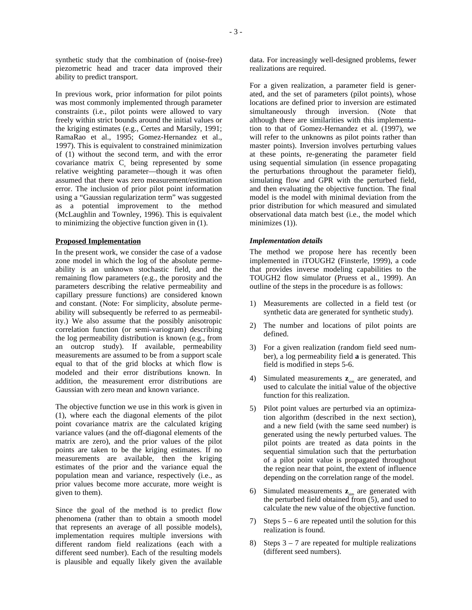In previous work, prior information for pilot points was most commonly implemented through parameter constraints (i.e., pilot points were allowed to vary freely within strict bounds around the initial values or the kriging estimates (e.g., Certes and Marsily, 1991; RamaRao et al., 1995; Gomez-Hernandez et al., 1997). This is equivalent to constrained minimization of (1) without the second term, and with the error covariance matrix  $C<sub>v</sub>$  being represented by some relative weighting parameter—though it was often assumed that there was zero measurement/estimation error. The inclusion of prior pilot point information using a "Gaussian regularization term" was suggested as a potential improvement to the method (McLaughlin and Townley, 1996). This is equivalent to minimizing the objective function given in (1).

### **Proposed Implementation**

In the present work, we consider the case of a vadose zone model in which the log of the absolute permeability is an unknown stochastic field, and the remaining flow parameters (e.g., the porosity and the parameters describing the relative permeability and capillary pressure functions) are considered known and constant. (Note: For simplicity, absolute permeability will subsequently be referred to as permeability.) We also assume that the possibly anisotropic correlation function (or semi-variogram) describing the log permeability distribution is known (e.g., from an outcrop study). If available, permeability measurements are assumed to be from a support scale equal to that of the grid blocks at which flow is modeled and their error distributions known. In addition, the measurement error distributions are Gaussian with zero mean and known variance.

The objective function we use in this work is given in (1), where each the diagonal elements of the pilot point covariance matrix are the calculated kriging variance values (and the off-diagonal elements of the matrix are zero), and the prior values of the pilot points are taken to be the kriging estimates. If no measurements are available, then the kriging estimates of the prior and the variance equal the population mean and variance, respectively (i.e., as prior values become more accurate, more weight is given to them).

Since the goal of the method is to predict flow phenomena (rather than to obtain a smooth model that represents an average of all possible models), implementation requires multiple inversions with different random field realizations (each with a different seed number). Each of the resulting models is plausible and equally likely given the available data. For increasingly well-designed problems, fewer realizations are required.

For a given realization, a parameter field is generated, and the set of parameters (pilot points), whose locations are defined prior to inversion are estimated simultaneously through inversion. (Note that although there are similarities with this implementation to that of Gomez-Hernandez et al. (1997), we will refer to the unknowns as pilot points rather than master points). Inversion involves perturbing values at these points, re-generating the parameter field using sequential simulation (in essence propagating the perturbations throughout the parameter field), simulating flow and GPR with the perturbed field, and then evaluating the objective function. The final model is the model with minimal deviation from the prior distribution for which measured and simulated observational data match best (i.e., the model which minimizes (1)).

# *Implementation details*

The method we propose here has recently been implemented in iTOUGH2 (Finsterle, 1999), a code that provides inverse modeling capabilities to the TOUGH2 flow simulator (Pruess et al., 1999). An outline of the steps in the procedure is as follows:

- 1) Measurements are collected in a field test (or synthetic data are generated for synthetic study).
- 2) The number and locations of pilot points are defined.
- 3) For a given realization (random field seed number), a log permeability field **a** is generated. This field is modified in steps 5-6.
- 4) Simulated measurements  $z_{sim}$  are generated, and used to calculate the initial value of the objective function for this realization.
- 5) Pilot point values are perturbed via an optimization algorithm (described in the next section), and a new field (with the same seed number) is generated using the newly perturbed values. The pilot points are treated as data points in the sequential simulation such that the perturbation of a pilot point value is propagated throughout the region near that point, the extent of influence depending on the correlation range of the model.
- 6) Simulated measurements  $z_{\text{sim}}$  are generated with the perturbed field obtained from (5), and used to calculate the new value of the objective function.
- 7) Steps 5 6 are repeated until the solution for this realization is found.
- 8) Steps  $3 7$  are repeated for multiple realizations (different seed numbers).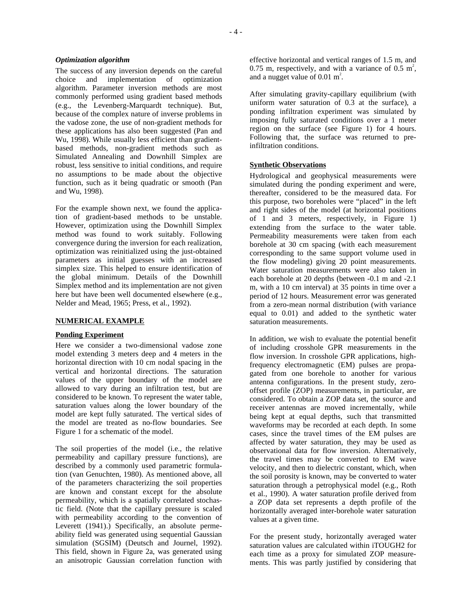#### *Optimization algorithm*

The success of any inversion depends on the careful choice and implementation of optimization algorithm. Parameter inversion methods are most commonly performed using gradient based methods (e.g., the Levenberg-Marquardt technique). But, because of the complex nature of inverse problems in the vadose zone, the use of non-gradient methods for these applications has also been suggested (Pan and Wu, 1998). While usually less efficient than gradientbased methods, non-gradient methods such as Simulated Annealing and Downhill Simplex are robust, less sensitive to initial conditions, and require no assumptions to be made about the objective function, such as it being quadratic or smooth (Pan and Wu, 1998).

For the example shown next, we found the application of gradient-based methods to be unstable. However, optimization using the Downhill Simplex method was found to work suitably. Following convergence during the inversion for each realization, optimization was reinitialized using the just-obtained parameters as initial guesses with an increased simplex size. This helped to ensure identification of the global minimum. Details of the Downhill Simplex method and its implementation are not given here but have been well documented elsewhere (e.g., Nelder and Mead, 1965; Press, et al., 1992).

### **NUMERICAL EXAMPLE**

### **Ponding Experiment**

Here we consider a two-dimensional vadose zone model extending 3 meters deep and 4 meters in the horizontal direction with 10 cm nodal spacing in the vertical and horizontal directions. The saturation values of the upper boundary of the model are allowed to vary during an infiltration test, but are considered to be known. To represent the water table, saturation values along the lower boundary of the model are kept fully saturated. The vertical sides of the model are treated as no-flow boundaries. See Figure 1 for a schematic of the model.

The soil properties of the model (i.e., the relative permeability and capillary pressure functions), are described by a commonly used parametric formulation (van Genuchten, 1980). As mentioned above, all of the parameters characterizing the soil properties are known and constant except for the absolute permeability, which is a spatially correlated stochastic field. (Note that the capillary pressure is scaled with permeability according to the convention of Leverett (1941).) Specifically, an absolute permeability field was generated using sequential Gaussian simulation (SGSIM) (Deutsch and Journel, 1992). This field, shown in Figure 2a, was generated using an anisotropic Gaussian correlation function with

effective horizontal and vertical ranges of 1.5 m, and 0.75 m, respectively, and with a variance of 0.5  $m^2$ , and a nugget value of  $0.01 \text{ m}^2$ .

After simulating gravity-capillary equilibrium (with uniform water saturation of 0.3 at the surface), a ponding infiltration experiment was simulated by imposing fully saturated conditions over a 1 meter region on the surface (see Figure 1) for 4 hours. Following that, the surface was returned to preinfiltration conditions.

### **Synthetic Observations**

Hydrological and geophysical measurements were simulated during the ponding experiment and were, thereafter, considered to be the measured data. For this purpose, two boreholes were "placed" in the left and right sides of the model (at horizontal positions of 1 and 3 meters, respectively, in Figure 1) extending from the surface to the water table. Permeability measurements were taken from each borehole at 30 cm spacing (with each measurement corresponding to the same support volume used in the flow modeling) giving 20 point measurements. Water saturation measurements were also taken in each borehole at 20 depths (between -0.1 m and -2.1 m, with a 10 cm interval) at 35 points in time over a period of 12 hours. Measurement error was generated from a zero-mean normal distribution (with variance equal to 0.01) and added to the synthetic water saturation measurements.

In addition, we wish to evaluate the potential benefit of including crosshole GPR measurements in the flow inversion. In crosshole GPR applications, highfrequency electromagnetic (EM) pulses are propagated from one borehole to another for various antenna configurations. In the present study, zerooffset profile (ZOP) measurements, in particular, are considered. To obtain a ZOP data set, the source and receiver antennas are moved incrementally, while being kept at equal depths, such that transmitted waveforms may be recorded at each depth. In some cases, since the travel times of the EM pulses are affected by water saturation, they may be used as observational data for flow inversion. Alternatively, the travel times may be converted to EM wave velocity, and then to dielectric constant, which, when the soil porosity is known, may be converted to water saturation through a petrophysical model (e.g., Roth et al., 1990). A water saturation profile derived from a ZOP data set represents a depth profile of the horizontally averaged inter-borehole water saturation values at a given time.

For the present study, horizontally averaged water saturation values are calculated within iTOUGH2 for each time as a proxy for simulated ZOP measurements. This was partly justified by considering that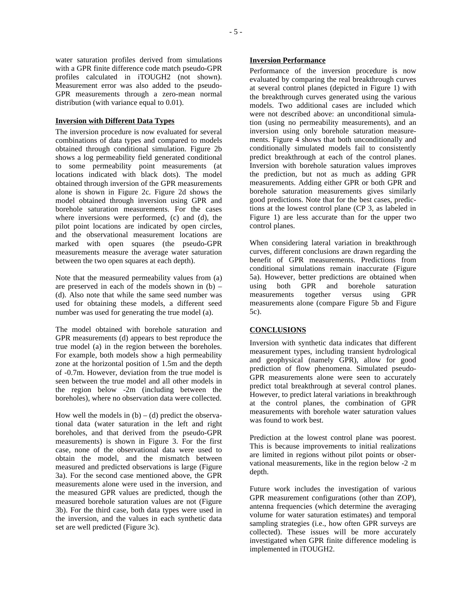water saturation profiles derived from simulations with a GPR finite difference code match pseudo-GPR profiles calculated in iTOUGH2 (not shown). Measurement error was also added to the pseudo-GPR measurements through a zero-mean normal distribution (with variance equal to 0.01).

#### **Inversion with Different Data Types**

The inversion procedure is now evaluated for several combinations of data types and compared to models obtained through conditional simulation. Figure 2b shows a log permeability field generated conditional to some permeability point measurements (at locations indicated with black dots). The model obtained through inversion of the GPR measurements alone is shown in Figure 2c. Figure 2d shows the model obtained through inversion using GPR and borehole saturation measurements. For the cases where inversions were performed, (c) and (d), the pilot point locations are indicated by open circles, and the observational measurement locations are marked with open squares (the pseudo-GPR measurements measure the average water saturation between the two open squares at each depth).

Note that the measured permeability values from (a) are preserved in each of the models shown in  $(b)$  – (d). Also note that while the same seed number was used for obtaining these models, a different seed number was used for generating the true model (a).

The model obtained with borehole saturation and GPR measurements (d) appears to best reproduce the true model (a) in the region between the boreholes. For example, both models show a high permeability zone at the horizontal position of 1.5m and the depth of -0.7m. However, deviation from the true model is seen between the true model and all other models in the region below -2m (including between the boreholes), where no observation data were collected.

How well the models in  $(b) - (d)$  predict the observational data (water saturation in the left and right boreholes, and that derived from the pseudo-GPR measurements) is shown in Figure 3. For the first case, none of the observational data were used to obtain the model, and the mismatch between measured and predicted observations is large (Figure 3a). For the second case mentioned above, the GPR measurements alone were used in the inversion, and the measured GPR values are predicted, though the measured borehole saturation values are not (Figure 3b). For the third case, both data types were used in the inversion, and the values in each synthetic data set are well predicted (Figure 3c).

### **Inversion Performance**

Performance of the inversion procedure is now evaluated by comparing the real breakthrough curves at several control planes (depicted in Figure 1) with the breakthrough curves generated using the various models. Two additional cases are included which were not described above: an unconditional simulation (using no permeability measurements), and an inversion using only borehole saturation measurements. Figure 4 shows that both unconditionally and conditionally simulated models fail to consistently predict breakthrough at each of the control planes. Inversion with borehole saturation values improves the prediction, but not as much as adding GPR measurements. Adding either GPR or both GPR and borehole saturation measurements gives similarly good predictions. Note that for the best cases, predictions at the lowest control plane (CP 3, as labeled in Figure 1) are less accurate than for the upper two control planes.

When considering lateral variation in breakthrough curves, different conclusions are drawn regarding the benefit of GPR measurements. Predictions from conditional simulations remain inaccurate (Figure 5a). However, better predictions are obtained when using both GPR and borehole saturation measurements together versus using GPR measurements alone (compare Figure 5b and Figure 5c).

## **CONCLUSIONS**

Inversion with synthetic data indicates that different measurement types, including transient hydrological and geophysical (namely GPR), allow for good prediction of flow phenomena. Simulated pseudo-GPR measurements alone were seen to accurately predict total breakthrough at several control planes. However, to predict lateral variations in breakthrough at the control planes, the combination of GPR measurements with borehole water saturation values was found to work best.

Prediction at the lowest control plane was poorest. This is because improvements to initial realizations are limited in regions without pilot points or observational measurements, like in the region below -2 m depth.

Future work includes the investigation of various GPR measurement configurations (other than ZOP), antenna frequencies (which determine the averaging volume for water saturation estimates) and temporal sampling strategies (i.e., how often GPR surveys are collected). These issues will be more accurately investigated when GPR finite difference modeling is implemented in iTOUGH2.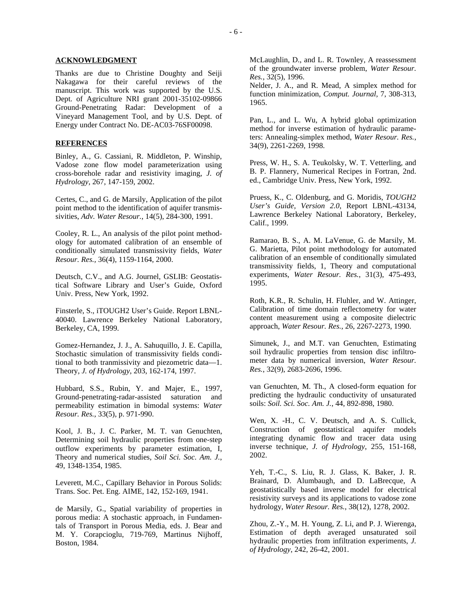### **ACKNOWLEDGMENT**

Thanks are due to Christine Doughty and Seiji Nakagawa for their careful reviews of the manuscript. This work was supported by the U.S. Dept. of Agriculture NRI grant 2001-35102-09866 Ground-Penetrating Radar: Development of a Vineyard Management Tool, and by U.S. Dept. of Energy under Contract No. DE-AC03-76SF00098.

### **REFERENCES**

Binley, A., G. Cassiani, R. Middleton, P. Winship, Vadose zone flow model parameterization using cross-borehole radar and resistivity imaging, *J. of Hydrology*, 267, 147-159, 2002.

Certes, C., and G. de Marsily, Application of the pilot point method to the identification of aquifer transmissivities, *Adv. Water Resour.*, 14(5), 284-300, 1991.

Cooley, R. L., An analysis of the pilot point methodology for automated calibration of an ensemble of conditionally simulated transmissivity fields, *Water Resour. Res.,* 36(4), 1159-1164, 2000.

Deutsch, C.V., and A.G. Journel, GSLIB: Geostatistical Software Library and User's Guide, Oxford Univ. Press, New York, 1992.

Finsterle, S., iTOUGH2 User's Guide. Report LBNL-40040. Lawrence Berkeley National Laboratory, Berkeley, CA, 1999.

Gomez-Hernandez, J. J., A. Sahuquillo, J. E. Capilla, Stochastic simulation of transmissivity fields conditional to both tranmissivity and piezometric data—1. Theory, *J. of Hydrology*, 203, 162-174, 1997.

Hubbard, S.S., Rubin, Y. and Majer, E., 1997, Ground-penetrating-radar-assisted saturation and permeability estimation in bimodal systems: *Water Resour. Res.*, 33(5), p. 971-990.

Kool, J. B., J. C. Parker, M. T. van Genuchten, Determining soil hydraulic properties from one-step outflow experiments by parameter estimation, I, Theory and numerical studies, *Soil Sci. Soc. Am. J.*, 49, 1348-1354, 1985.

Leverett, M.C., Capillary Behavior in Porous Solids: Trans. Soc. Pet. Eng. AIME, 142, 152-169, 1941.

de Marsily, G., Spatial variability of properties in porous media: A stochastic approach, in Fundamentals of Transport in Porous Media, eds. J. Bear and M. Y. Corapcioglu, 719-769, Martinus Nijhoff, Boston, 1984.

McLaughlin, D., and L. R. Townley, A reassessment of the groundwater inverse problem, *Water Resour. Res.*, 32(5), 1996.

Nelder, J. A., and R. Mead, A simplex method for function minimization, *Comput. Journal*, 7, 308-313, 1965.

Pan, L., and L. Wu, A hybrid global optimization method for inverse estimation of hydraulic parameters: Annealing-simplex method, *Water Resour. Res.*, 34(9), 2261-2269, 1998.

Press, W. H., S. A. Teukolsky, W. T. Vetterling, and B. P. Flannery, Numerical Recipes in Fortran, 2nd. ed., Cambridge Univ. Press, New York, 1992.

Pruess, K., C. Oldenburg, and G. Moridis, *TOUGH2 User's Guide, Version 2.0*, Report LBNL-43134, Lawrence Berkeley National Laboratory, Berkeley, Calif., 1999.

Ramarao, B. S., A. M. LaVenue, G. de Marsily, M. G. Marietta, Pilot point methodology for automated calibration of an ensemble of conditionally simulated transmissivity fields, 1, Theory and computational experiments, *Water Resour. Res.*, 31(3), 475-493, 1995.

Roth, K.R., R. Schulin, H. Fluhler, and W. Attinger, Calibration of time domain reflectometry for water content measurement using a composite dielectric approach, *Water Resour. Res.*, 26, 2267-2273, 1990.

Simunek, J., and M.T. van Genuchten, Estimating soil hydraulic properties from tension disc infiltrometer data by numerical inversion, *Water Resour. Res.*, 32(9), 2683-2696, 1996.

van Genuchten, M. Th., A closed-form equation for predicting the hydraulic conductivity of unsaturated soils: *Soil. Sci. Soc. Am. J.*, 44, 892-898, 1980.

Wen, X. -H., C. V. Deutsch, and A. S. Cullick, Construction of geostatistical aquifer models integrating dynamic flow and tracer data using inverse technique, *J. of Hydrology*, 255, 151-168, 2002.

Yeh, T.-C., S. Liu, R. J. Glass, K. Baker, J. R. Brainard, D. Alumbaugh, and D. LaBrecque, A geostatistically based inverse model for electrical resistivity surveys and its applications to vadose zone hydrology, *Water Resour. Res.*, 38(12), 1278, 2002.

Zhou, Z.-Y., M. H. Young, Z. Li, and P. J. Wierenga, Estimation of depth averaged unsaturated soil hydraulic properties from infiltration experiments, *J. of Hydrology*, 242, 26-42, 2001.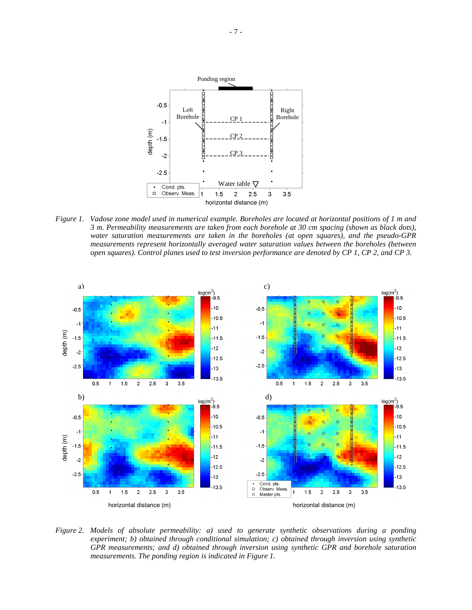

*Figure 1. Vadose zone model used in numerical example. Boreholes are located at horizontal positions of 1 m and 3 m. Permeability measurements are taken from each borehole at 30 cm spacing (shown as black dots), water saturation measurements are taken in the boreholes (at open squares), and the pseudo-GPR measurements represent horizontally averaged water saturation values between the boreholes (between open squares). Control planes used to test inversion performance are denoted by CP 1, CP 2, and CP 3.* 



*Figure 2. Models of absolute permeability: a) used to generate synthetic observations during a ponding experiment; b) obtained through conditional simulation; c) obtained through inversion using synthetic GPR measurements; and d) obtained through inversion using synthetic GPR and borehole saturation measurements. The ponding region is indicated in Figure 1.*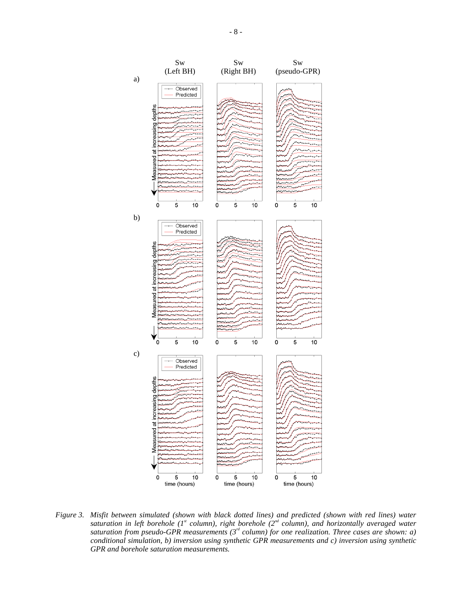

*Figure 3. Misfit between simulated (shown with black dotted lines) and predicted (shown with red lines) water*  saturation in left borehole ( $I^s$  column), right borehole ( $2^{nd}$  column), and horizontally averaged water *saturation from pseudo-GPR measurements (3rd column) for one realization. Three cases are shown: a) conditional simulation, b) inversion using synthetic GPR measurements and c) inversion using synthetic GPR and borehole saturation measurements.*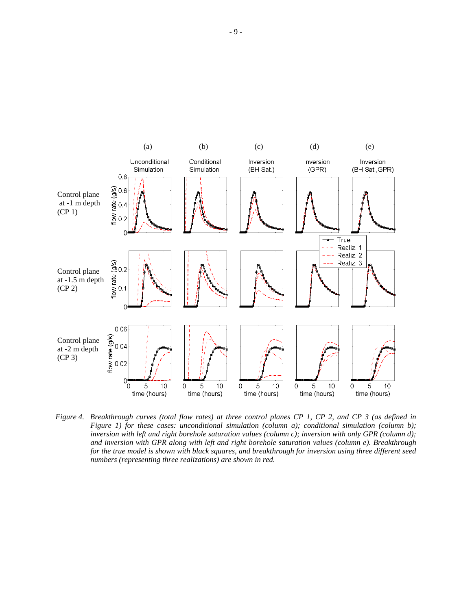

*Figure 4. Breakthrough curves (total flow rates) at three control planes CP 1, CP 2, and CP 3 (as defined in Figure 1) for these cases: unconditional simulation (column a); conditional simulation (column b); inversion with left and right borehole saturation values (column c); inversion with only GPR (column d); and inversion with GPR along with left and right borehole saturation values (column e). Breakthrough for the true model is shown with black squares, and breakthrough for inversion using three different seed numbers (representing three realizations) are shown in red.*